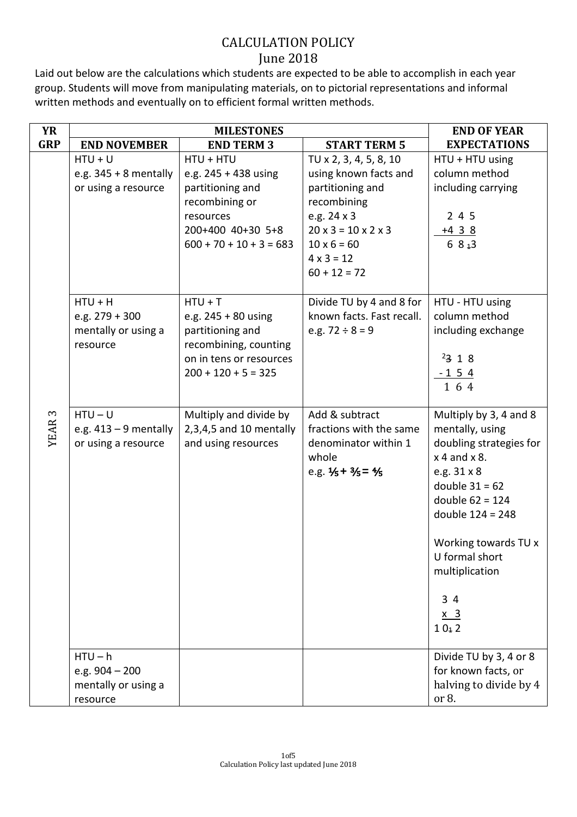Laid out below are the calculations which students are expected to be able to accomplish in each year group. Students will move from manipulating materials, on to pictorial representations and informal written methods and eventually on to efficient formal written methods.

| <b>YR</b>     | <b>MILESTONES</b>                                                |                                                                                                                                        |                                                                                                                                                                                                        | <b>END OF YEAR</b>                                                                                                                                                                                                                                                        |
|---------------|------------------------------------------------------------------|----------------------------------------------------------------------------------------------------------------------------------------|--------------------------------------------------------------------------------------------------------------------------------------------------------------------------------------------------------|---------------------------------------------------------------------------------------------------------------------------------------------------------------------------------------------------------------------------------------------------------------------------|
| <b>GRP</b>    | <b>END NOVEMBER</b>                                              | <b>END TERM 3</b>                                                                                                                      | <b>START TERM 5</b>                                                                                                                                                                                    | <b>EXPECTATIONS</b>                                                                                                                                                                                                                                                       |
|               | $HTU + U$<br>e.g. $345 + 8$ mentally<br>or using a resource      | HTU + HTU<br>e.g. 245 + 438 using<br>partitioning and<br>recombining or<br>resources<br>200+400 40+30 5+8<br>$600 + 70 + 10 + 3 = 683$ | TU x 2, 3, 4, 5, 8, 10<br>using known facts and<br>partitioning and<br>recombining<br>e.g. 24 x 3<br>$20 \times 3 = 10 \times 2 \times 3$<br>$10 \times 6 = 60$<br>$4 \times 3 = 12$<br>$60 + 12 = 72$ | HTU + HTU using<br>column method<br>including carrying<br>245<br><u>+4 3 8</u><br>6 $813$                                                                                                                                                                                 |
|               | $HTU + H$<br>e.g. $279 + 300$<br>mentally or using a<br>resource | $HTU + T$<br>e.g. $245 + 80$ using<br>partitioning and<br>recombining, counting<br>on in tens or resources<br>$200 + 120 + 5 = 325$    | Divide TU by 4 and 8 for<br>known facts. Fast recall.<br>e.g. $72 \div 8 = 9$                                                                                                                          | HTU - HTU using<br>column method<br>including exchange<br>2318<br><u>-154</u><br>164                                                                                                                                                                                      |
| <b>YEAR 3</b> | $HTU-U$<br>e.g. $413 - 9$ mentally<br>or using a resource        | Multiply and divide by<br>$2,3,4,5$ and 10 mentally<br>and using resources                                                             | Add & subtract<br>fractions with the same<br>denominator within 1<br>whole<br>e.g. $1/5 + 3/5 = 1/5$                                                                                                   | Multiply by 3, 4 and 8<br>mentally, using<br>doubling strategies for<br>$x$ 4 and $x$ 8.<br>e.g. 31 x 8<br>double $31 = 62$<br>double $62 = 124$<br>double 124 = 248<br>Working towards TU x<br>U formal short<br>multiplication<br>34<br><u>x 3</u><br>10 <sub>1</sub> 2 |
|               | $HTU - h$<br>e.g. $904 - 200$<br>mentally or using a<br>resource |                                                                                                                                        |                                                                                                                                                                                                        | Divide TU by 3, 4 or 8<br>for known facts, or<br>halving to divide by 4<br>or 8.                                                                                                                                                                                          |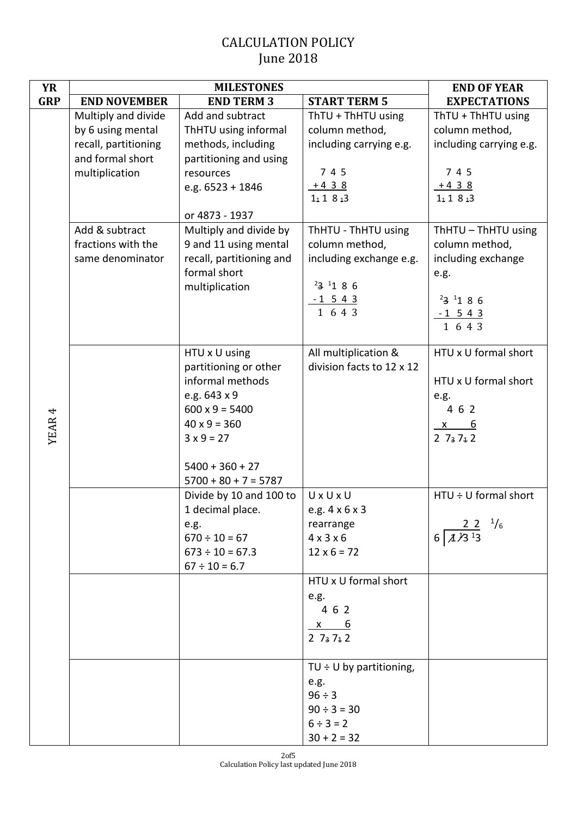| <b>YR</b>  |                      | <b>MILESTONES</b>                                 |                                  | <b>END OF YEAR</b>               |
|------------|----------------------|---------------------------------------------------|----------------------------------|----------------------------------|
| <b>GRP</b> | <b>END NOVEMBER</b>  | <b>END TERM 3</b>                                 | <b>START TERM 5</b>              | <b>EXPECTATIONS</b>              |
|            | Multiply and divide  | Add and subtract                                  | ThTU + ThHTU using               | ThTU + ThHTU using               |
|            | by 6 using mental    | ThHTU using informal                              | column method,                   | column method,                   |
|            | recall, partitioning | methods, including                                | including carrying e.g.          | including carrying e.g.          |
|            | and formal short     | partitioning and using                            |                                  |                                  |
|            | multiplication       | resources                                         | 7 4 5                            | 7 4 5                            |
|            |                      | e.g. 6523 + 1846                                  | $+438$                           | $+438$                           |
|            |                      |                                                   | $1_1 1 8_4 3$                    | $1_1 1 8_4 3$                    |
|            |                      | or 4873 - 1937                                    |                                  |                                  |
|            | Add & subtract       | Multiply and divide by                            | ThHTU - ThHTU using              | ThHTU - ThHTU using              |
|            | fractions with the   | 9 and 11 using mental                             | column method,                   | column method,                   |
|            | same denominator     | recall, partitioning and                          | including exchange e.g.          | including exchange               |
|            |                      | formal short                                      | $23$ 1 8 6                       | e.g.                             |
|            |                      | multiplication                                    |                                  | $23^{11}86$                      |
|            |                      |                                                   | $\frac{-1\ 5\ 4\ 3}{1\ 6\ 4\ 3}$ | $-1$ 5 4 3                       |
|            |                      |                                                   |                                  | $1\;6\;4\;3$                     |
|            |                      |                                                   |                                  |                                  |
|            |                      | HTU x U using                                     | All multiplication &             | HTU x U formal short             |
|            |                      | partitioning or other                             | division facts to 12 x 12        |                                  |
|            |                      | informal methods                                  |                                  | HTU x U formal short             |
|            |                      | e.g. 643 x 9                                      |                                  | e.g.                             |
|            |                      | $600 \times 9 = 5400$                             |                                  | 4 6 2                            |
| YEAR 4     |                      | $40 \times 9 = 360$                               |                                  | <u>_6</u><br>$\mathsf{X}$        |
|            |                      | $3 \times 9 = 27$                                 |                                  | $2\,7_3\,7_1\,2$                 |
|            |                      |                                                   |                                  |                                  |
|            |                      | $5400 + 360 + 27$                                 |                                  |                                  |
|            |                      | $5700 + 80 + 7 = 5787$<br>Divide by 10 and 100 to | UxUxU                            | HTU ÷ U formal short             |
|            |                      | 1 decimal place.                                  | e.g. 4 x 6 x 3                   |                                  |
|            |                      | e.g.                                              | rearrange                        | $22^{1/6}$                       |
|            |                      | $670 \div 10 = 67$                                | $4 \times 3 \times 6$            | $6 \overline{A \overline{3}^13}$ |
|            |                      | $673 \div 10 = 67.3$                              | $12 \times 6 = 72$               |                                  |
|            |                      | $67 \div 10 = 6.7$                                |                                  |                                  |
|            |                      |                                                   | HTU x U formal short             |                                  |
|            |                      |                                                   | e.g.                             |                                  |
|            |                      |                                                   | 4 6 2                            |                                  |
|            |                      |                                                   | $x \t 6$                         |                                  |
|            |                      |                                                   | $2\,7_3\,7_4\,2$                 |                                  |
|            |                      |                                                   | TU $\div$ U by partitioning,     |                                  |
|            |                      |                                                   | e.g.                             |                                  |
|            |                      |                                                   | $96 \div 3$                      |                                  |
|            |                      |                                                   | $90 \div 3 = 30$                 |                                  |
|            |                      |                                                   | $6 \div 3 = 2$                   |                                  |
|            |                      |                                                   | $30 + 2 = 32$                    |                                  |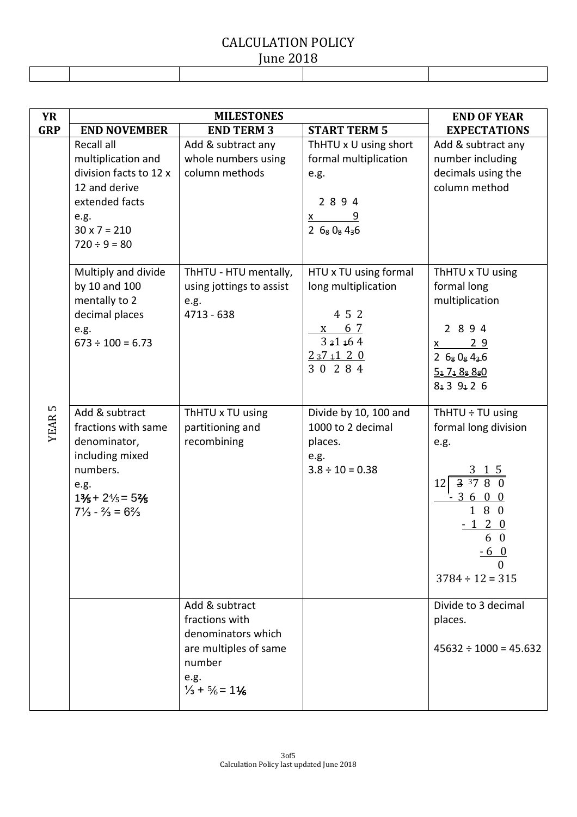| $I$ ulit $L$ ulo |  |  |  |  |  |
|------------------|--|--|--|--|--|
|                  |  |  |  |  |  |
|                  |  |  |  |  |  |
|                  |  |  |  |  |  |

| <b>YR</b>         | <b>MILESTONES</b>                                                                                                                                                                           |                                                                                                                                                      |                                                                                                           | <b>END OF YEAR</b>                                                                                                                                            |
|-------------------|---------------------------------------------------------------------------------------------------------------------------------------------------------------------------------------------|------------------------------------------------------------------------------------------------------------------------------------------------------|-----------------------------------------------------------------------------------------------------------|---------------------------------------------------------------------------------------------------------------------------------------------------------------|
| <b>GRP</b>        | <b>END NOVEMBER</b>                                                                                                                                                                         | <b>END TERM 3</b>                                                                                                                                    | <b>START TERM 5</b>                                                                                       | <b>EXPECTATIONS</b>                                                                                                                                           |
|                   | Recall all<br>multiplication and<br>division facts to 12 x<br>12 and derive<br>extended facts<br>e.g.<br>$30 \times 7 = 210$<br>$720 \div 9 = 80$                                           | Add & subtract any<br>whole numbers using<br>column methods                                                                                          | ThHTU x U using short<br>formal multiplication<br>e.g.<br>2894<br>$x \qquad 9$<br>26808436                | Add & subtract any<br>number including<br>decimals using the<br>column method                                                                                 |
|                   | Multiply and divide<br>by 10 and 100<br>mentally to 2<br>decimal places<br>e.g.<br>$673 \div 100 = 6.73$                                                                                    | ThHTU - HTU mentally,<br>using jottings to assist<br>e.g.<br>4713 - 638                                                                              | HTU x TU using formal<br>long multiplication<br>4 5 2<br>6 <sub>7</sub><br>X<br>331164<br>237120<br>30284 | ThHTU x TU using<br>formal long<br>multiplication<br>2 8 9 4<br>$\frac{29}{2}$<br>$\underline{x}$<br>26808436<br>$5_1$ $7_4$ $8_8$ $8_8$ 0<br>$8_1 3$ 9 1 2 6 |
| YEAR <sub>5</sub> | Add & subtract<br>fractions with same<br>denominator,<br>including mixed<br>numbers.<br>e.g.<br>$1\frac{3}{5} + 2\frac{4}{5} = 5\frac{2}{5}$<br>$7\frac{1}{3} - \frac{2}{3} = 6\frac{2}{3}$ | ThHTU x TU using<br>partitioning and<br>recombining                                                                                                  | Divide by 10, 100 and<br>1000 to 2 decimal<br>places.<br>e.g.<br>$3.8 \div 10 = 0.38$                     | ThHTU $\div$ TU using<br>formal long division<br>e.g.<br>3 1 5<br>$\frac{1}{3}$ 37 8 0<br>12<br>360<br>180<br>120<br>60<br><u>-60</u><br>$3784 \div 12 = 315$ |
|                   |                                                                                                                                                                                             | Add & subtract<br>fractions with<br>denominators which<br>are multiples of same<br>number<br>e.g.<br>$\frac{1}{3}$ + $\frac{5}{6}$ = 1 $\frac{1}{6}$ |                                                                                                           | Divide to 3 decimal<br>places.<br>$45632 \div 1000 = 45.632$                                                                                                  |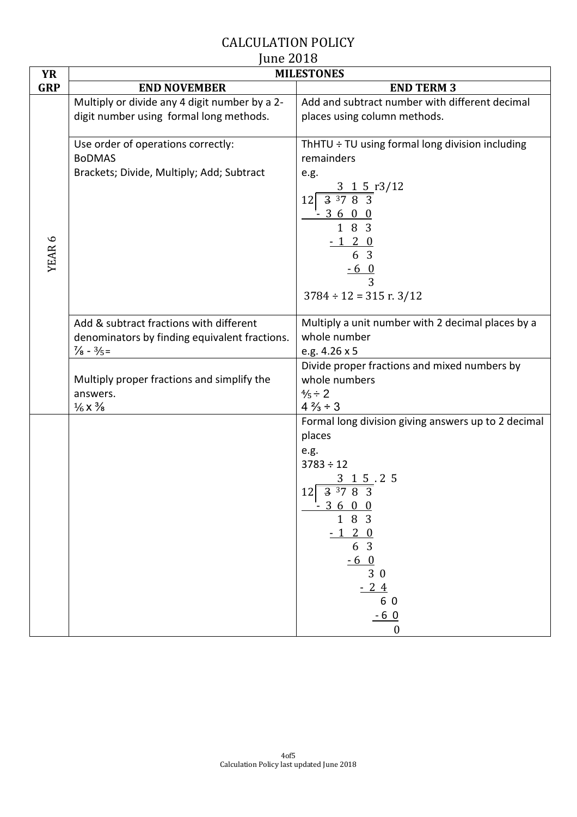| <b>YR</b>         | 1110000000<br><b>MILESTONES</b>                                                                                           |                                                                                                                                                                                                                                                                    |  |
|-------------------|---------------------------------------------------------------------------------------------------------------------------|--------------------------------------------------------------------------------------------------------------------------------------------------------------------------------------------------------------------------------------------------------------------|--|
| <b>GRP</b>        | <b>END NOVEMBER</b>                                                                                                       | <b>END TERM 3</b>                                                                                                                                                                                                                                                  |  |
|                   | Multiply or divide any 4 digit number by a 2-<br>digit number using formal long methods.                                  | Add and subtract number with different decimal<br>places using column methods.                                                                                                                                                                                     |  |
| YEAR <sub>6</sub> | Use order of operations correctly:<br><b>BoDMAS</b><br>Brackets; Divide, Multiply; Add; Subtract                          | ThHTU ÷ TU using formal long division including<br>remainders<br>e.g.<br>$3 \t1 \t5 \t13/12$<br>$\frac{33783}{3}$<br>12<br>$-3600$<br>1 8 3<br>$-120$<br>6 3<br>$-60$<br>3<br>$3784 \div 12 = 315$ r. $3/12$                                                       |  |
|                   | Add & subtract fractions with different<br>denominators by finding equivalent fractions.<br>$\frac{7}{8} - \frac{3}{5} =$ | Multiply a unit number with 2 decimal places by a<br>whole number<br>e.g. 4.26 x 5                                                                                                                                                                                 |  |
|                   | Multiply proper fractions and simplify the<br>answers.<br>$\frac{1}{6}$ X $\frac{3}{8}$                                   | Divide proper fractions and mixed numbers by<br>whole numbers<br>$\frac{4}{5} \div 2$<br>$4\frac{2}{3} \div 3$                                                                                                                                                     |  |
|                   |                                                                                                                           | Formal long division giving answers up to 2 decimal<br>places<br>e.g.<br>$3783 \div 12$<br>$\frac{3}{12} \frac{1}{3} \frac{5}{37} \cdot 2 \cdot 5$<br>$-3600$<br>$1 \t8 \t3$<br>$-1\ 2\ 0$<br>6 3<br>$\frac{-6}{3}$ 0<br>$-24$<br>6 0<br>$-60$<br>$\boldsymbol{0}$ |  |